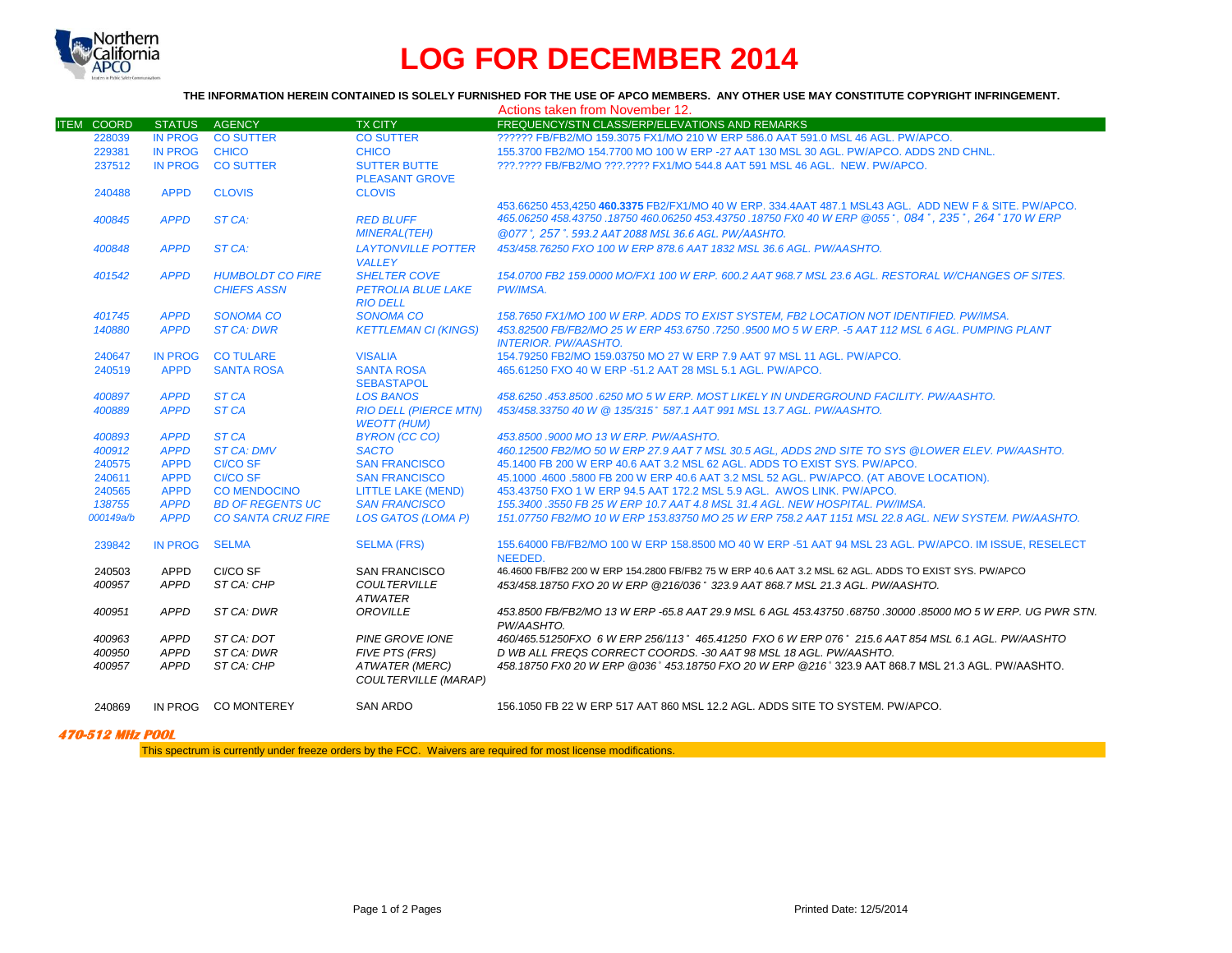

## **LOG FOR DECEMBER 2014**

## **THE INFORMATION HEREIN CONTAINED IS SOLELY FURNISHED FOR THE USE OF APCO MEMBERS. ANY OTHER USE MAY CONSTITUTE COPYRIGHT INFRINGEMENT.**

|                   |                |                           |                                                      | Actions taken from November 12.                                                                             |
|-------------------|----------------|---------------------------|------------------------------------------------------|-------------------------------------------------------------------------------------------------------------|
| <b>ITEM COORD</b> | <b>STATUS</b>  | <b>AGENCY</b>             | <b>TX CITY</b>                                       | FREQUENCY/STN CLASS/ERP/ELEVATIONS AND REMARKS                                                              |
| 228039            | <b>IN PROG</b> | <b>CO SUTTER</b>          | <b>CO SUTTER</b>                                     | ?????? FB/FB2/MO 159.3075 FX1/MO 210 W ERP 586.0 AAT 591.0 MSL 46 AGL, PW/APCO.                             |
| 229381            | <b>IN PROG</b> | <b>CHICO</b>              | <b>CHICO</b>                                         | 155.3700 FB2/MO 154.7700 MO 100 W ERP -27 AAT 130 MSL 30 AGL. PW/APCO, ADDS 2ND CHNL.                       |
| 237512            | <b>IN PROG</b> | <b>CO SUTTER</b>          | <b>SUTTER BUTTE</b>                                  | ???.???? FB/FB2/MO ???.???? FX1/MO 544.8 AAT 591 MSL 46 AGL. NEW. PW/APCO.                                  |
|                   |                |                           | <b>PLEASANT GROVE</b>                                |                                                                                                             |
| 240488            | <b>APPD</b>    | <b>CLOVIS</b>             | <b>CLOVIS</b>                                        |                                                                                                             |
|                   |                |                           |                                                      | 453.66250 453.4250 460.3375 FB2/FX1/MO 40 W ERP. 334.4AAT 487.1 MSL43 AGL. ADD NEW F & SITE. PW/APCO.       |
| 400845            | <b>APPD</b>    | ST CA:                    | <b>RED BLUFF</b>                                     | 465.06250 458.43750 .18750 460.06250 453.43750 .18750 FX0 40 W ERP @055°, 084°, 235°, 264° 170 W ERP        |
|                   |                |                           | <b>MINERAL(TEH)</b>                                  | @077°, 257°, 593.2 AAT 2088 MSL 36.6 AGL, PW/AASHTO.                                                        |
| 400848            | <b>APPD</b>    | ST CA:                    | <b>LAYTONVILLE POTTER</b>                            | 453/458,76250 FXO 100 W ERP 878.6 AAT 1832 MSL 36.6 AGL, PW/AASHTO.                                         |
|                   |                |                           | <b>VALLEY</b>                                        |                                                                                                             |
| 401542            | <b>APPD</b>    | <b>HUMBOLDT CO FIRE</b>   | <b>SHELTER COVE</b>                                  | 154.0700 FB2 159.0000 MO/FX1 100 W ERP, 600.2 AAT 968.7 MSL 23.6 AGL, RESTORAL W/CHANGES OF SITES.          |
|                   |                | <b>CHIEFS ASSN</b>        | <b>PETROLIA BLUE LAKE</b>                            | PW/IMSA.                                                                                                    |
|                   |                |                           | <b>RIO DELL</b>                                      |                                                                                                             |
| 401745            | <b>APPD</b>    | <b>SONOMA CO</b>          | <b>SONOMA CO</b>                                     | 158.7650 FX1/MO 100 W ERP. ADDS TO EXIST SYSTEM. FB2 LOCATION NOT IDENTIFIED. PW/IMSA.                      |
| 140880            | <b>APPD</b>    | <b>ST CA: DWR</b>         | <b>KETTLEMAN CI (KINGS)</b>                          | 453.82500 FB/FB2/MO 25 W ERP 453.6750 .7250 .9500 MO 5 W ERP. -5 AAT 112 MSL 6 AGL. PUMPING PLANT           |
|                   |                |                           |                                                      | <b>INTERIOR, PW/AASHTO.</b>                                                                                 |
| 240647            | <b>IN PROG</b> | <b>CO TULARE</b>          | <b>VISALIA</b>                                       | 154.79250 FB2/MO 159.03750 MO 27 W ERP 7.9 AAT 97 MSL 11 AGL, PW/APCO.                                      |
| 240519            | <b>APPD</b>    | <b>SANTA ROSA</b>         | <b>SANTA ROSA</b>                                    | 465.61250 FXO 40 W ERP -51.2 AAT 28 MSL 5.1 AGL. PW/APCO.                                                   |
|                   |                |                           | <b>SEBASTAPOL</b>                                    |                                                                                                             |
| 400897            | <b>APPD</b>    | ST <sub>CA</sub>          | <b>LOS BANOS</b>                                     | 458.6250.453.8500.6250 MO 5 W ERP. MOST LIKELY IN UNDERGROUND FACILITY. PW/AASHTO.                          |
| 400889            | <b>APPD</b>    | ST <sub>CA</sub>          | <b>RIO DELL (PIERCE MTN)</b>                         | 453/458.33750 40 W @ 135/315° 587.1 AAT 991 MSL 13.7 AGL, PW/AASHTO.                                        |
|                   |                |                           | <b>WEOTT (HUM)</b>                                   |                                                                                                             |
| 400893            | <b>APPD</b>    | ST <sub>CA</sub>          | <b>BYRON (CC CO)</b>                                 | 453.8500 .9000 MO 13 W ERP. PW/AASHTO.                                                                      |
| 400912            | <b>APPD</b>    | <b>ST CA: DMV</b>         | <b>SACTO</b>                                         | 460.12500 FB2/MO 50 W ERP 27.9 AAT 7 MSL 30.5 AGL. ADDS 2ND SITE TO SYS @LOWER ELEV. PW/AASHTO.             |
| 240575            | <b>APPD</b>    | <b>CI/CO SF</b>           | <b>SAN FRANCISCO</b>                                 | 45.1400 FB 200 W ERP 40.6 AAT 3.2 MSL 62 AGL, ADDS TO EXIST SYS, PW/APCO,                                   |
| 240611            | <b>APPD</b>    | <b>CI/CO SF</b>           | <b>SAN FRANCISCO</b>                                 | 45.1000 .4600 .5800 FB 200 W ERP 40.6 AAT 3.2 MSL 52 AGL. PW/APCO. (AT ABOVE LOCATION).                     |
| 240565            | <b>APPD</b>    | <b>CO MENDOCINO</b>       | <b>LITTLE LAKE (MEND)</b>                            | 453.43750 FXO 1 W ERP 94.5 AAT 172.2 MSL 5.9 AGL. AWOS LINK, PW/APCO.                                       |
| 138755            | <b>APPD</b>    | <b>BD OF REGENTS UC</b>   | <b>SAN FRANCISCO</b>                                 | 155.3400 .3550 FB 25 W ERP 10.7 AAT 4.8 MSL 31.4 AGL. NEW HOSPITAL, PW/IMSA.                                |
| 000149a/b         | <b>APPD</b>    | <b>CO SANTA CRUZ FIRE</b> | <b>LOS GATOS (LOMA P)</b>                            | 151.07750 FB2/MO 10 W ERP 153.83750 MO 25 W ERP 758.2 AAT 1151 MSL 22.8 AGL. NEW SYSTEM. PW/AASHTO.         |
| 239842            | <b>IN PROG</b> | <b>SELMA</b>              | <b>SELMA (FRS)</b>                                   | 155,64000 FB/FB2/MO 100 W ERP 158,8500 MO 40 W ERP -51 AAT 94 MSL 23 AGL. PW/APCO, IM ISSUE, RESELECT       |
|                   |                |                           |                                                      | NEEDED.                                                                                                     |
| 240503            | <b>APPD</b>    | CI/CO SF                  | <b>SAN FRANCISCO</b>                                 | 46.4600 FB/FB2 200 W ERP 154.2800 FB/FB2 75 W ERP 40.6 AAT 3.2 MSL 62 AGL. ADDS TO EXIST SYS. PW/APCO       |
| 400957            | APPD           | ST CA: CHP                | <b>COULTERVILLE</b>                                  | 453/458.18750 FXO 20 W ERP @216/036° 323.9 AAT 868.7 MSL 21.3 AGL. PW/AASHTO.                               |
|                   |                |                           | <b>ATWATER</b>                                       |                                                                                                             |
| 400951            | <b>APPD</b>    | ST CA: DWR                | <b>OROVILLE</b>                                      | 453.8500 FB/FB2/MO 13 W ERP -65.8 AAT 29.9 MSL 6 AGL 453.43750 .68750 .30000 .85000 MO 5 W ERP. UG PWR STN. |
|                   |                |                           |                                                      | PW/AASHTO.                                                                                                  |
| 400963            | <b>APPD</b>    | ST CA: DOT                | <b>PINE GROVE IONE</b>                               | 460/465.51250FXO 6 W ERP 256/113° 465.41250 FXO 6 W ERP 076° 215.6 AAT 854 MSL 6.1 AGL. PW/AASHTO           |
| 400950            | <b>APPD</b>    | ST CA: DWR                | <b>FIVE PTS (FRS)</b>                                | D WB ALL FREQS CORRECT COORDS. -30 AAT 98 MSL 18 AGL. PW/AASHTO.                                            |
| 400957            | APPD           | ST CA: CHP                | <b>ATWATER (MERC)</b><br><b>COULTERVILLE (MARAP)</b> | 458.18750 FX0 20 W ERP @036° 453.18750 FXO 20 W ERP @216° 323.9 AAT 868.7 MSL 21.3 AGL. PW/AASHTO.          |
| 240869            | IN PROG        | <b>CO MONTEREY</b>        | <b>SAN ARDO</b>                                      | 156.1050 FB 22 W ERP 517 AAT 860 MSL 12.2 AGL, ADDS SITE TO SYSTEM, PW/APCO.                                |
|                   |                |                           |                                                      |                                                                                                             |

## **470-512 MHz POOL**

This spectrum is currently under freeze orders by the FCC. Waivers are required for most license modifications.